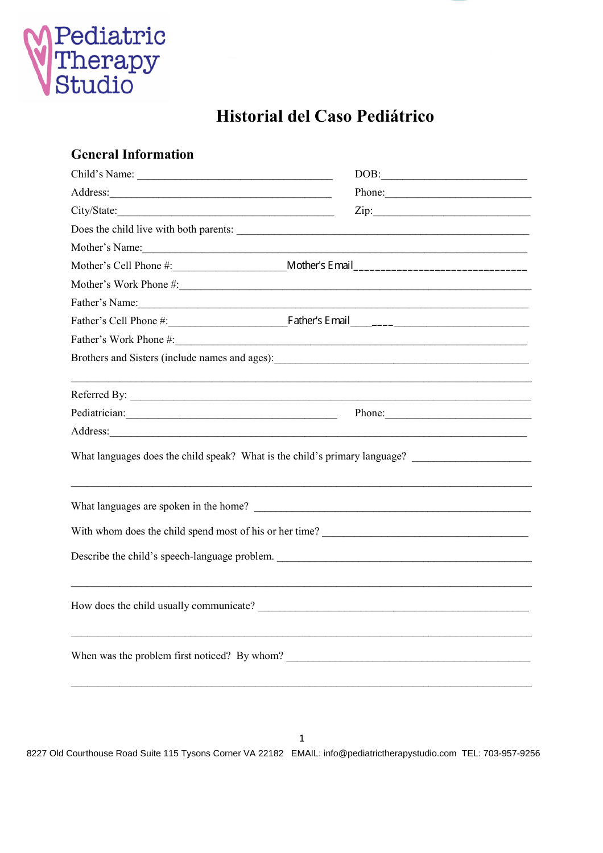

# **Historial del Caso Pediátrico**

## **Información General**

| Nombre del Niño:                                                                                                                           | Fecha de Nacimiento:                                                                                                                                                                                                                   |  |
|--------------------------------------------------------------------------------------------------------------------------------------------|----------------------------------------------------------------------------------------------------------------------------------------------------------------------------------------------------------------------------------------|--|
| Dirección:                                                                                                                                 |                                                                                                                                                                                                                                        |  |
| Ciudad/Estado: Ciudad / Estado:                                                                                                            |                                                                                                                                                                                                                                        |  |
| $i$ , Vive el niño con los dos padres?: $\frac{1}{i}$                                                                                      |                                                                                                                                                                                                                                        |  |
| Nombre de la Madre:                                                                                                                        |                                                                                                                                                                                                                                        |  |
|                                                                                                                                            |                                                                                                                                                                                                                                        |  |
|                                                                                                                                            | Teléfono del Trabajo de la Madre:                                                                                                                                                                                                      |  |
| Nombre del Padre:                                                                                                                          |                                                                                                                                                                                                                                        |  |
|                                                                                                                                            | Teléfono Móvil del Padre: __________________________Email del Padre_________________________________                                                                                                                                   |  |
|                                                                                                                                            |                                                                                                                                                                                                                                        |  |
|                                                                                                                                            | Hermanos y Hermanas (incluya nombres y edades)<br><u>Letter and the contract of the set of the set of the set of the set of the set of the set of the set of the set of the set of the set of the set of the set of the set of the</u> |  |
|                                                                                                                                            |                                                                                                                                                                                                                                        |  |
|                                                                                                                                            | Referido Por:                                                                                                                                                                                                                          |  |
|                                                                                                                                            | Pediatra: # de Teléfono: # de Teléfono:                                                                                                                                                                                                |  |
|                                                                                                                                            | Dirección:                                                                                                                                                                                                                             |  |
|                                                                                                                                            |                                                                                                                                                                                                                                        |  |
|                                                                                                                                            |                                                                                                                                                                                                                                        |  |
|                                                                                                                                            |                                                                                                                                                                                                                                        |  |
|                                                                                                                                            |                                                                                                                                                                                                                                        |  |
|                                                                                                                                            |                                                                                                                                                                                                                                        |  |
|                                                                                                                                            |                                                                                                                                                                                                                                        |  |
| Describa el problema de lenguaje del niño.<br>alimnia de la problema de lenguaje del niño.<br>alimnia de la problema de lenguaje del niño. |                                                                                                                                                                                                                                        |  |
|                                                                                                                                            |                                                                                                                                                                                                                                        |  |
| $i$ Cómo se comunica usualmente el niño?                                                                                                   |                                                                                                                                                                                                                                        |  |
|                                                                                                                                            |                                                                                                                                                                                                                                        |  |
| ¿Cuándo se observó el problema por primera vez? ¿Por quién?                                                                                |                                                                                                                                                                                                                                        |  |
|                                                                                                                                            |                                                                                                                                                                                                                                        |  |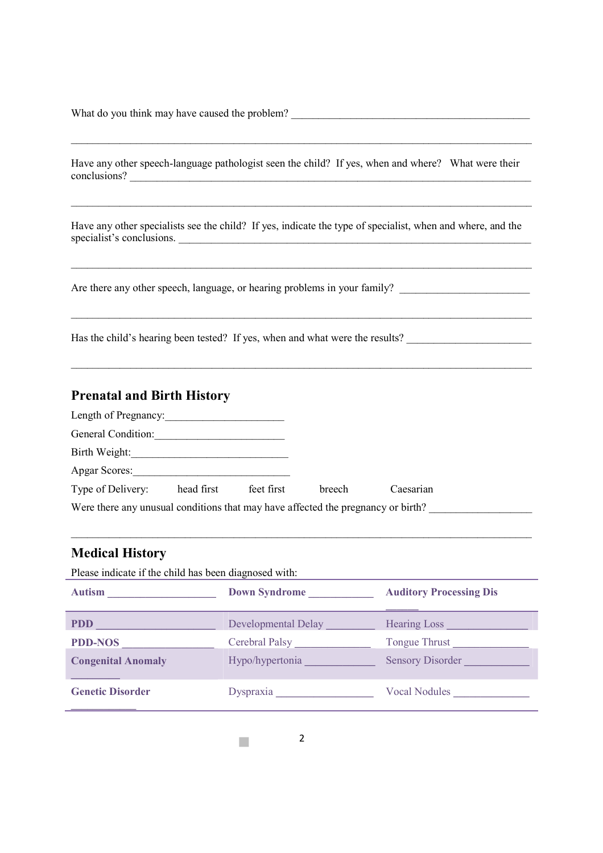$i_{\rm c}$ Qué cree que puede haber causado el problema?

¿Ha visto al niño algún otro patólogo del lenguaje? En caso afirmativo, ¿cuándo y dónde? ¿Cuáles fueron sus conclusiones?

\_\_\_\_\_\_\_\_\_\_\_\_\_\_\_\_\_\_\_\_\_\_\_\_\_\_\_\_\_\_\_\_\_\_\_\_\_\_\_\_\_\_\_\_\_\_\_\_\_\_\_\_\_\_\_\_\_\_\_\_\_\_\_\_\_\_\_\_\_\_\_\_\_\_\_\_\_\_\_\_\_\_\_\_\_

 $\_$  ,  $\_$  ,  $\_$  ,  $\_$  ,  $\_$  ,  $\_$  ,  $\_$  ,  $\_$  ,  $\_$  ,  $\_$  ,  $\_$  ,  $\_$  ,  $\_$  ,  $\_$  ,  $\_$  ,  $\_$  ,  $\_$  ,  $\_$  ,  $\_$  ,  $\_$  ,  $\_$  ,  $\_$  ,  $\_$  ,  $\_$  ,  $\_$  ,  $\_$  ,  $\_$  ,  $\_$  ,  $\_$  ,  $\_$  ,  $\_$  ,  $\_$  ,  $\_$  ,  $\_$  ,  $\_$  ,  $\_$  ,  $\_$  ,

¿Han visto al niño otros especialistas? En caso afirmativo, indique el tipo de especialista, cuándo y dónde, y las conclusiones del especialista.

\_\_\_\_\_\_\_\_\_\_\_\_\_\_\_\_\_\_\_\_\_\_\_\_\_\_\_\_\_\_\_\_\_\_\_\_\_\_\_\_\_\_\_\_\_\_\_\_\_\_\_\_\_\_\_\_\_\_\_\_\_\_\_\_\_\_\_\_\_\_\_\_\_\_\_\_\_\_\_\_\_\_\_\_\_

 $\_$  ,  $\_$  ,  $\_$  ,  $\_$  ,  $\_$  ,  $\_$  ,  $\_$  ,  $\_$  ,  $\_$  ,  $\_$  ,  $\_$  ,  $\_$  ,  $\_$  ,  $\_$  ,  $\_$  ,  $\_$  ,  $\_$  ,  $\_$  ,  $\_$  ,  $\_$  ,  $\_$  ,  $\_$  ,  $\_$  ,  $\_$  ,  $\_$  ,  $\_$  ,  $\_$  ,  $\_$  ,  $\_$  ,  $\_$  ,  $\_$  ,  $\_$  ,  $\_$  ,  $\_$  ,  $\_$  ,  $\_$  ,  $\_$  ,

\_\_\_\_\_\_\_\_\_\_\_\_\_\_\_\_\_\_\_\_\_\_\_\_\_\_\_\_\_\_\_\_\_\_\_\_\_\_\_\_\_\_\_\_\_\_\_\_\_\_\_\_\_\_\_\_\_\_\_\_\_\_\_\_\_\_\_\_\_\_\_\_\_\_\_\_\_\_\_\_\_\_\_\_\_

¿Hay otros problemas de habla, lenguaje o audición en su familia? \_\_\_\_\_\_\_\_\_\_\_\_\_\_\_\_\_\_\_\_\_\_\_\_\_\_

¿Se ha examinado la audición del niño? En caso afirmativo, ¿cuándo y cuáles fueron los resultados?\_\_\_\_\_\_

#### **Prenatal and Birth History**

| Length of Pregnancy:                                                             |            |            |        |           |  |
|----------------------------------------------------------------------------------|------------|------------|--------|-----------|--|
| General Condition:                                                               |            |            |        |           |  |
| Birth Weight:                                                                    |            |            |        |           |  |
| Apgar Scores:                                                                    |            |            |        |           |  |
| Type of Delivery:                                                                | head first | feet first | breech | Caesarian |  |
| Were there any unusual conditions that may have affected the pregnancy or birth? |            |            |        |           |  |

\_\_\_\_\_\_\_\_\_\_\_\_\_\_\_\_\_\_\_\_\_\_\_\_\_\_\_\_\_\_\_\_\_\_\_\_\_\_\_\_\_\_\_\_\_\_\_\_\_\_\_\_\_\_\_\_\_\_\_\_\_\_\_\_\_\_\_\_\_\_\_\_\_\_\_\_\_\_\_\_\_\_\_\_\_

### **Historial Médico**

Por favor, indique si el niño ha sido diagnosticado con:

| <b>Autismo</b>             | Síndrome de Down         | <b>Desorden de Procesamiento</b><br><b>Auditivo</b> |
|----------------------------|--------------------------|-----------------------------------------------------|
| <b>TGD</b>                 | Retraso en el Desarrollo | Pérdida de Audición                                 |
| <b>TGD-No Especificado</b> | Parálisis Cerebral       | Empuje de la Lengua                                 |
| Anomalía Congénita         | Hipo/hipertonía          | <b>Trastorno Sensorial</b>                          |
| <b>Trastorno Genético</b>  | Dispraxia                | Nódulos Vocales                                     |

m.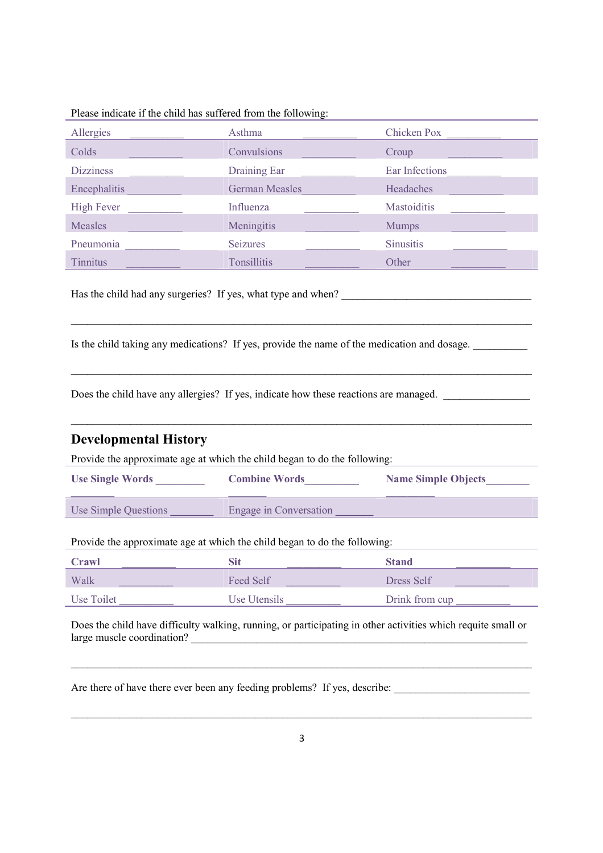Por favor, indique si el niño ha sufrido lo siguiente:

| Alergias      | Asma             | Varicela            |
|---------------|------------------|---------------------|
| Resfriados    | Convulsiones     | Grupa               |
| <b>Mareos</b> | Drenaje del Oído | Infecciones de Oído |
| Encefalitis   | Sarampión Alemán | Dolores de Cabeza   |
| Fiebre Alta   | Influenza        | <b>Mastoiditis</b>  |
| Sarampión     | Meningitis       | Paperas             |
| Neumonía      | Convulsiones     | <b>Sinusitis</b>    |
| Acúfenos      | Amigdalitis      | Otro                |

¿El niño ha tenido alguna operación quirúrgica? En caso afirmativo, ¿de qué tipo y cuándo? \_\_\_\_\_\_\_\_\_\_

¿Toma el niño alguna medicación? En caso afirmativo, indique el nombre de la medicación y la dosis. \_\_

\_\_\_\_\_\_\_\_\_\_\_\_\_\_\_\_\_\_\_\_\_\_\_\_\_\_\_\_\_\_\_\_\_\_\_\_\_\_\_\_\_\_\_\_\_\_\_\_\_\_\_\_\_\_\_\_\_\_\_\_\_\_\_\_\_\_\_\_\_\_\_\_\_\_\_\_\_\_\_\_\_\_\_\_\_

\_\_\_\_\_\_\_\_\_\_\_\_\_\_\_\_\_\_\_\_\_\_\_\_\_\_\_\_\_\_\_\_\_\_\_\_\_\_\_\_\_\_\_\_\_\_\_\_\_\_\_\_\_\_\_\_\_\_\_\_\_\_\_\_\_\_\_\_\_\_\_\_\_\_\_\_\_\_\_\_\_\_\_\_\_

¿Tiene el niño alguna alergia? En caso afirmativo, indique cómo se controlan las reacciones. \_\_\_

\_\_\_\_\_\_\_\_\_\_\_\_\_\_\_\_\_\_\_\_\_\_\_\_\_\_\_\_\_\_\_\_\_\_\_\_\_\_\_\_\_\_\_\_\_\_\_\_\_\_\_\_\_\_\_\_\_\_\_\_\_\_\_\_\_\_\_\_\_\_\_\_\_\_\_\_\_\_\_\_\_\_\_\_\_

#### **Developmental History**

Provide the approximate age at which the child began to do the following:

| <b>Use Single Words</b> | <b>Combine Words</b>   | <b>Name Simple Objects</b> |
|-------------------------|------------------------|----------------------------|
| Use Simple Questions    | Engage in Conversation |                            |

Provide the approximate age at which the child began to do the following:

| <b>Crawl</b> | Sit          | <b>Stand</b>   |
|--------------|--------------|----------------|
| Walk         | Feed Self    | Dress Self     |
| Use Toilet   | Use Utensils | Drink from cup |

Does the child have difficulty walking, running, or participating in other activities which requite small or large muscle coordination?

 $\_$  , and the set of the set of the set of the set of the set of the set of the set of the set of the set of the set of the set of the set of the set of the set of the set of the set of the set of the set of the set of th

Are there of have there ever been any feeding problems? If yes, describe:

 $\_$  , and the set of the set of the set of the set of the set of the set of the set of the set of the set of the set of the set of the set of the set of the set of the set of the set of the set of the set of the set of th